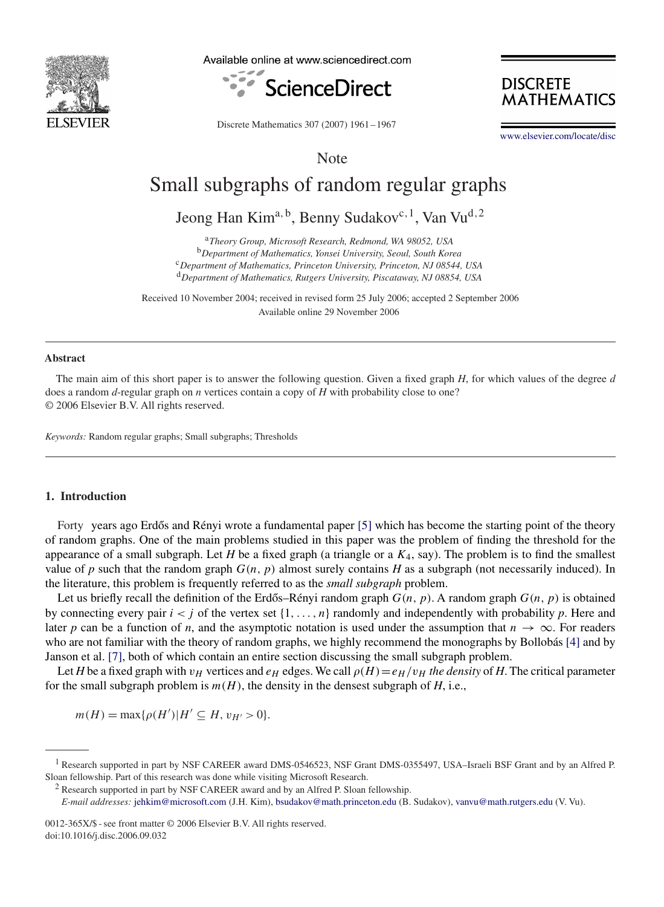

Available online at www.sciencedirect.com



**DISCRETE MATHEMATICS** 

Discrete Mathematics 307 (2007) 1961 – 1967

[www.elsevier.com/locate/disc](http://www.elsevier.com/locate/disc)

Note

# Small subgraphs of random regular graphs

Jeong Han Kim<sup>a, b</sup>, Benny Sudakov<sup>c, 1</sup>, Van Vu<sup>d, 2</sup>

<sup>a</sup>*Theory Group, Microsoft Research, Redmond, WA 98052, USA* <sup>b</sup>*Department of Mathematics, Yonsei University, Seoul, South Korea* <sup>c</sup>*Department of Mathematics, Princeton University, Princeton, NJ 08544, USA* <sup>d</sup>*Department of Mathematics, Rutgers University, Piscataway, NJ 08854, USA*

Received 10 November 2004; received in revised form 25 July 2006; accepted 2 September 2006 Available online 29 November 2006

#### **Abstract**

The main aim of this short paper is to answer the following question. Given a fixed graph *H*, for which values of the degree *d* does a random *d*-regular graph on *n* vertices contain a copy of *H* with probability close to one? © 2006 Elsevier B.V. All rights reserved.

*Keywords:* Random regular graphs; Small subgraphs; Thresholds

### **1. Introduction**

Forty years ago Erdős and Rényi wrote a fundamental paper [\[5\]](#page-6-0) which has become the starting point of the theory of random graphs. One of the main problems studied in this paper was the problem of finding the threshold for the appearance of a small subgraph. Let *H* be a fixed graph (a triangle or a  $K_4$ , say). The problem is to find the smallest value of  $p$  such that the random graph  $G(n, p)$  almost surely contains  $H$  as a subgraph (not necessarily induced). In the literature, this problem is frequently referred to as the *small subgraph* problem.

Let us briefly recall the definition of the Erdős–Rényi random graph  $G(n, p)$ . A random graph  $G(n, p)$  is obtained by connecting every pair  $i < j$  of the vertex set  $\{1, \ldots, n\}$  randomly and independently with probability *p*. Here and later *p* can be a function of *n*, and the asymptotic notation is used under the assumption that  $n \to \infty$ . For readers who are not familiar with the theory of random graphs, we highly recommend the monographs by Bollobás [\[4\]](#page-6-0) and by Janson et al. [\[7\],](#page-6-0) both of which contain an entire section discussing the small subgraph problem.

Let *H* be a fixed graph with  $v_H$  vertices and  $e_H$  edges. We call  $\rho(H) = e_H/v_H$  *the density* of *H*. The critical parameter for the small subgraph problem is  $m(H)$ , the density in the densest subgraph of *H*, i.e.,

$$
m(H) = \max\{\rho(H') | H' \subseteq H, v_{H'} > 0\}.
$$

0012-365X/\$ - see front matter © 2006 Elsevier B.V. All rights reserved. doi:10.1016/j.disc.2006.09.032

<sup>&</sup>lt;sup>1</sup> Research supported in part by NSF CAREER award DMS-0546523, NSF Grant DMS-0355497, USA–Israeli BSF Grant and by an Alfred P. Sloan fellowship. Part of this research was done while visiting Microsoft Research.

<sup>&</sup>lt;sup>2</sup> Research supported in part by NSF CAREER award and by an Alfred P. Sloan fellowship.

*E-mail addresses:* [jehkim@microsoft.com](mailto:jehkim@microsoft.com) (J.H. Kim), [bsudakov@math.princeton.edu](mailto:bsudakov@math.princeton.edu) (B. Sudakov), [vanvu@math.rutgers.edu](mailto:vanvu@math.rutgers.edu) (V. Vu).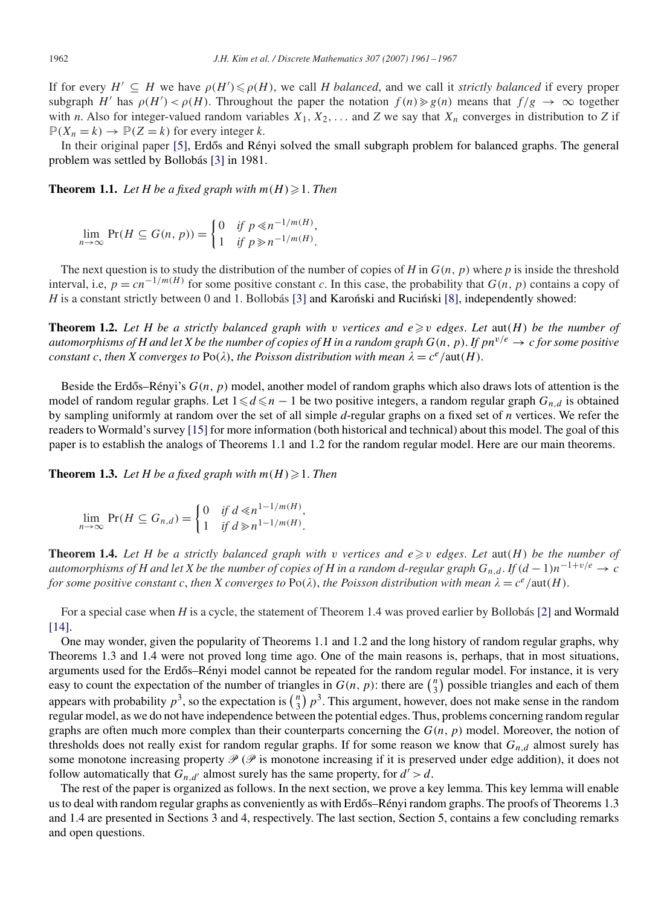If for every  $H' \subseteq H$  we have  $\rho(H') \leq \rho(H)$ , we call *H balanced*, and we call it *strictly balanced* if every proper subgraph H' has  $\rho(H') < \rho(H)$ . Throughout the paper the notation  $f(n) \ge g(n)$  means that  $f/g \to \infty$  together with *n*. Also for integer-valued random variables  $X_1, X_2, \ldots$  and  $Z$  we say that  $X_n$  converges in distribution to  $Z$  if  $\mathbb{P}(X_n = k) \to \mathbb{P}(Z = k)$  for every integer *k*.

In their original paper [\[5\],](#page-6-0) Erdős and Rényi solved the small subgraph problem for balanced graphs. The general problem was settled by Bollobás [\[3\]](#page-6-0) in 1981.

**Theorem 1.1.** Let H be a fixed graph with  $m(H) \geq 1$ . Then

$$
\lim_{n \to \infty} \Pr(H \subseteq G(n, p)) = \begin{cases} 0 & \text{if } p \le n^{-1/m(H)}, \\ 1 & \text{if } p \ge n^{-1/m(H)}. \end{cases}
$$

The next question is to study the distribution of the number of copies of *H* in  $G(n, p)$  where *p* is inside the threshold interval, i.e,  $p = cn^{-1/m(H)}$  for some positive constant *c*. In this case, the probability that  $G(n, p)$  contains a copy of *H* is a constant strictly between 0 and 1. Bollobás [\[3\]](#page-6-0) and Karoński and Rucinski [\[8\],](#page-6-0) independently showed:

**Theorem 1.2.** Let H be a strictly balanced graph with v vertices and  $e \geq v$  edges. Let  $\text{aut}(H)$  be the number of *automorphisms of H and let X be the number of copies of H in a random graph*  $G(n, p)$ . *If*  $pn^{v/e} \to c$  *for some positive constant c, then X converges to*  $Po(\lambda)$ *, the Poisson distribution with mean*  $\lambda = c^e / \text{aut}(H)$ *.* 

Beside the Erdős–Rényi's  $G(n, p)$  model, another model of random graphs which also draws lots of attention is the model of random regular graphs. Let  $1 \le d \le n - 1$  be two positive integers, a random regular graph  $G_{n,d}$  is obtained by sampling uniformly at random over the set of all simple *d*-regular graphs on a fixed set of *n* vertices. We refer the readers to Wormald's survey [\[15\]](#page-6-0) for more information (both historical and technical) about this model. The goal of this paper is to establish the analogs of Theorems 1.1 and 1.2 for the random regular model. Here are our main theorems.

**Theorem 1.3.** Let H be a fixed graph with  $m(H) \geq 1$ . Then

$$
\lim_{n \to \infty} \Pr(H \subseteq G_{n,d}) = \begin{cases} 0 & \text{if } d \le n^{1-1/m(H)}, \\ 1 & \text{if } d \ge n^{1-1/m(H)}. \end{cases}
$$

**Theorem 1.4.** Let H be a strictly balanced graph with v vertices and  $e \geq v$  edges. Let  $\text{aut}(H)$  be the number of *automorphisms of H and let X be the number of copies of H in a random d-regular graph*  $G_{n,d}$ . *If*  $(d-1)n^{-1+v/e} \to c$ *for some positive constant c, then X converges to*  $Po(\lambda)$ *, the Poisson distribution with mean*  $\lambda = c^e/aut(H)$ *.* 

For a special case when *H* is a cycle, the statement of Theorem 1.4 was proved earlier by Bollobás [\[2\]](#page-6-0) and Wormald [\[14\].](#page-6-0)

One may wonder, given the popularity of Theorems 1.1 and 1.2 and the long history of random regular graphs, why Theorems 1.3 and 1.4 were not proved long time ago. One of the main reasons is, perhaps, that in most situations, arguments used for the Erdős–Rényi model cannot be repeated for the random regular model. For instance, it is very easy to count the expectation of the number of triangles in  $G(n, p)$ : there are  $\binom{n}{3}$  possible triangles and each of them appears with probability  $p^3$ , so the expectation is  $\binom{n}{3} p^3$ . This argument, however, does not make sense in the random regular model, as we do not have independence between the potential edges. Thus, problems concerning random regular graphs are often much more complex than their counterparts concerning the  $G(n, p)$  model. Moreover, the notion of thresholds does not really exist for random regular graphs. If for some reason we know that  $G_{n,d}$  almost surely has some monotone increasing property  $\mathcal{P}(\mathcal{P})$  is monotone increasing if it is preserved under edge addition), it does not follow automatically that  $G_{n,d'}$  almost surely has the same property, for  $d' > d$ .

The rest of the paper is organized as follows. In the next section, we prove a key lemma. This key lemma will enable us to deal with random regular graphs as conveniently as with Erdős–Rényi random graphs. The proofs of Theorems 1.3 and 1.4 are presented in Sections 3 and 4, respectively. The last section, Section 5, contains a few concluding remarks and open questions.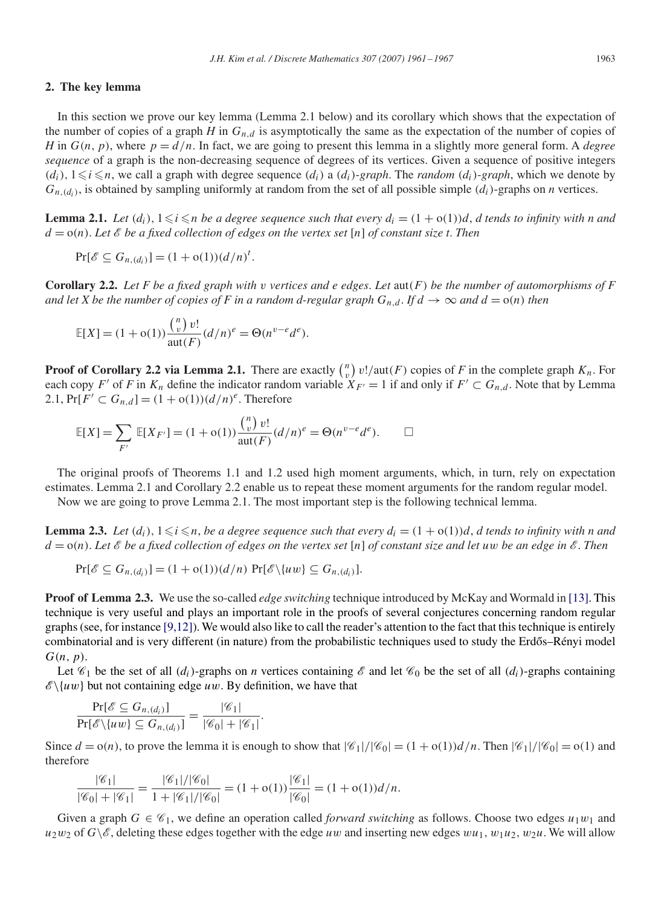### **2. The key lemma**

In this section we prove our key lemma (Lemma 2.1 below) and its corollary which shows that the expectation of the number of copies of a graph *H* in  $G_{n,d}$  is asymptotically the same as the expectation of the number of copies of *H* in  $G(n, p)$ , where  $p = d/n$ . In fact, we are going to present this lemma in a slightly more general form. A *degree sequence* of a graph is the non-decreasing sequence of degrees of its vertices. Given a sequence of positive integers  $(d_i)$ ,  $1 \le i \le n$ , we call a graph with degree sequence  $(d_i)$  a  $(d_i)$ -graph. The *random*  $(d_i)$ -graph, which we denote by  $G_{n,(d_i)}$ , is obtained by sampling uniformly at random from the set of all possible simple  $(d_i)$ -graphs on *n* vertices.

**Lemma 2.1.** Let  $(d_i)$ ,  $1 \leq i \leq n$  be a degree sequence such that every  $d_i = (1 + o(1))d$ , *d* tends to infinity with n and  $d = o(n)$ . Let  $\&$  be a fixed collection of edges on the vertex set [n] of constant size t. Then

$$
Pr[\mathscr{E} \subseteq G_{n,(d_i)}] = (1 + o(1))(d/n)^t.
$$

**Corollary 2.2.** Let F be a fixed graph with v vertices and e edges. Let  $\text{aut}(F)$  be the number of automorphisms of F *and let X be the number of copies of F in a random d-regular graph*  $G_{n,d}$ . *If*  $d \to \infty$  *and*  $d = o(n)$  *then* 

$$
\mathbb{E}[X] = (1 + o(1)) \frac{\binom{n}{v} v!}{\text{aut}(F)} (d/n)^e = \Theta(n^{v-e} d^e).
$$

**Proof of Corollary 2.2 via Lemma 2.1.** There are exactly  $\binom{n}{v} v! / \text{aut}(F)$  copies of *F* in the complete graph  $K_n$ . For each copy F' of F in  $K_n$  define the indicator random variable  $X_{F'} = 1$  if and only if  $F' \subset G_{n,d}$ . Note that by Lemma 2.1,  $Pr[F' \subset G_{n,d}] = (1 + o(1))(d/n)^e$ . Therefore

$$
\mathbb{E}[X] = \sum_{F'} \mathbb{E}[X_{F'}] = (1 + o(1)) \frac{\binom{n}{v} v!}{\text{aut}(F)} (d/n)^e = \Theta(n^{v-e} d^e).
$$

The original proofs of Theorems 1.1 and 1.2 used high moment arguments, which, in turn, rely on expectation estimates. Lemma 2.1 and Corollary 2.2 enable us to repeat these moment arguments for the random regular model.

Now we are going to prove Lemma 2.1. The most important step is the following technical lemma.

**Lemma 2.3.** Let  $(d_i)$ ,  $1 \leq i \leq n$ , be a degree sequence such that every  $d_i = (1 + o(1))d$ , *d* tends to infinity with n and d = o(n). *Let* E *be a fixed collection of edges on the vertex set* [n] *of constant size and let* uw *be an edge in* E. *Then*

$$
\Pr[\mathscr{E} \subseteq G_{n,(d_i)}] = (1 + o(1))(d/n) \Pr[\mathscr{E} \setminus \{uw\} \subseteq G_{n,(d_i)}].
$$

**Proof of Lemma 2.3.** We use the so-called *edge switching* technique introduced by McKay and Wormald in [\[13\].](#page-6-0) This technique is very useful and plays an important role in the proofs of several conjectures concerning random regular graphs (see, for instance  $[9,12]$ ). We would also like to call the reader's attention to the fact that this technique is entirely combinatorial and is very different (in nature) from the probabilistic techniques used to study the Erdős–Rényi model  $G(n, p)$ .

Let  $\mathcal{C}_1$  be the set of all  $(d_i)$ -graphs on *n* vertices containing  $\mathcal{E}$  and let  $\mathcal{C}_0$  be the set of all  $(d_i)$ -graphs containing  $\mathscr{E}\backslash \{uw\}$  but not containing edge uw. By definition, we have that

$$
\frac{\Pr[\mathscr{E} \subseteq G_{n,(d_i)}]}{\Pr[\mathscr{E}\setminus \{uw\} \subseteq G_{n,(d_i)}]} = \frac{|\mathscr{C}_1|}{|\mathscr{C}_0| + |\mathscr{C}_1|}.
$$

Since  $d = o(n)$ , to prove the lemma it is enough to show that  $|\mathcal{C}_1|/|\mathcal{C}_0| = (1 + o(1))d/n$ . Then  $|\mathcal{C}_1|/|\mathcal{C}_0| = o(1)$  and therefore

$$
\frac{|\mathcal{C}_1|}{|\mathcal{C}_0| + |\mathcal{C}_1|} = \frac{|\mathcal{C}_1|/|\mathcal{C}_0|}{1 + |\mathcal{C}_1|/|\mathcal{C}_0|} = (1 + o(1))\frac{|\mathcal{C}_1|}{|\mathcal{C}_0|} = (1 + o(1))d/n.
$$

Given a graph  $G \in \mathcal{C}_1$ , we define an operation called *forward switching* as follows. Choose two edges  $u_1w_1$  and  $u_2w_2$  of  $G\setminus\mathscr{E}$ , deleting these edges together with the edge uw and inserting new edges  $wu_1, w_1u_2, w_2u$ . We will allow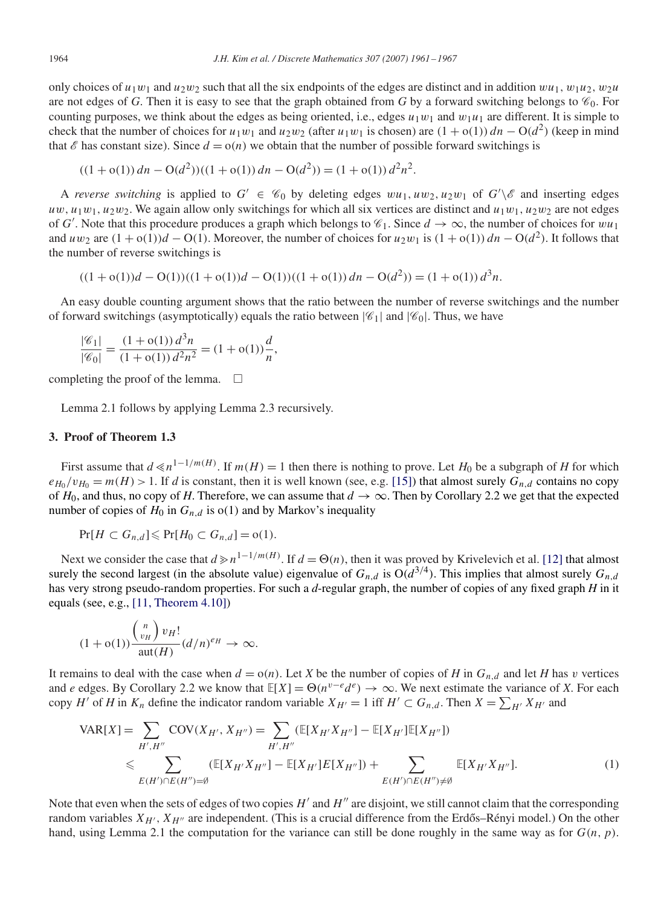only choices of  $u_1w_1$  and  $u_2w_2$  such that all the six endpoints of the edges are distinct and in addition  $wu_1$ ,  $w_1u_2$ ,  $w_2u$ are not edges of *G*. Then it is easy to see that the graph obtained from *G* by a forward switching belongs to  $\mathcal{C}_0$ . For counting purposes, we think about the edges as being oriented, i.e., edges  $u_1w_1$  and  $w_1u_1$  are different. It is simple to check that the number of choices for  $u_1w_1$  and  $u_2w_2$  (after  $u_1w_1$  is chosen) are  $(1 + o(1))dn - O(d^2)$  (keep in mind that  $\mathscr E$  has constant size). Since  $d = o(n)$  we obtain that the number of possible forward switchings is

$$
((1 + o(1))dn - O(d2))((1 + o(1))dn - O(d2)) = (1 + o(1))d2n2.
$$

A *reverse switching* is applied to  $G' \in \mathcal{C}_0$  by deleting edges  $wu_1, uw_2, u_2w_1$  of  $G' \setminus \mathcal{E}$  and inserting edges  $uw, u_1w_1, u_2w_2$ . We again allow only switchings for which all six vertices are distinct and  $u_1w_1, u_2w_2$  are not edges of G'. Note that this procedure produces a graph which belongs to  $\mathcal{C}_1$ . Since  $d \to \infty$ , the number of choices for  $wu_1$ and uw<sub>2</sub> are  $(1 + o(1))d - O(1)$ . Moreover, the number of choices for u<sub>2</sub>w<sub>1</sub> is  $(1 + o(1))dn - O(d^2)$ . It follows that the number of reverse switchings is

$$
((1+o(1))d - O(1))((1+o(1))d - O(1))((1+o(1))dn - O(d^{2})) = (1+o(1))d^{3}n.
$$

An easy double counting argument shows that the ratio between the number of reverse switchings and the number of forward switchings (asymptotically) equals the ratio between  $|\mathscr{C}_1|$  and  $|\mathscr{C}_0|$ . Thus, we have

$$
\frac{|\mathcal{C}_1|}{|\mathcal{C}_0|} = \frac{(1 + o(1)) d^3 n}{(1 + o(1)) d^2 n^2} = (1 + o(1)) \frac{d}{n},
$$

completing the proof of the lemma.  $\square$ 

Lemma 2.1 follows by applying Lemma 2.3 recursively.

#### **3. Proof of Theorem 1.3**

First assume that  $d \le n^{1-1/m(H)}$ . If  $m(H) = 1$  then there is nothing to prove. Let  $H_0$  be a subgraph of *H* for which  $e_{H_0}/v_{H_0} = m(H) > 1$ . If *d* is constant, then it is well known (see, e.g. [\[15\]\)](#page-6-0) that almost surely  $G_{n,d}$  contains no copy of  $H_0$ , and thus, no copy of H. Therefore, we can assume that  $d \to \infty$ . Then by Corollary 2.2 we get that the expected number of copies of  $H_0$  in  $G_{n,d}$  is o(1) and by Markov's inequality

$$
\Pr[H \subset G_{n,d}] \leqslant \Pr[H_0 \subset G_{n,d}] = o(1).
$$

Next we consider the case that  $d \ge n^{1-1/m(H)}$ . If  $d = \Theta(n)$ , then it was proved by Krivelevich et al. [\[12\]](#page-6-0) that almost surely the second largest (in the absolute value) eigenvalue of  $G_{n,d}$  is  $O(d^{3/4})$ . This implies that almost surely  $G_{n,d}$ has very strong pseudo-random properties. For such a *d*-regular graph, the number of copies of any fixed graph *H* in it equals (see, e.g., [\[11, Theorem 4.10\]\)](#page-6-0)

$$
(1+o(1))\frac{\binom{n}{v_H}v_H!}{\text{aut}(H)}(d/n)^{e_H}\to\infty.
$$

It remains to deal with the case when  $d = o(n)$ . Let *X* be the number of copies of *H* in  $G_{n,d}$  and let *H* has v vertices and *e* edges. By Corollary 2.2 we know that  $E[X] = \Theta(n^{v-e}d^e) \to \infty$ . We next estimate the variance of *X*. For each copy H' of H in  $K_n$  define the indicator random variable  $X_{H'} = 1$  iff  $H' \subset G_{n,d}$ . Then  $X = \sum_{H'} X_{H'}$  and

$$
VAR[X] = \sum_{H', H''} \text{COV}(X_{H'}, X_{H''}) = \sum_{H', H''} (\mathbb{E}[X_{H'}X_{H''}] - \mathbb{E}[X_{H'}]\mathbb{E}[X_{H''}])
$$
  
\n
$$
\leq \sum_{E(H') \cap E(H'') = \emptyset} (\mathbb{E}[X_{H'}X_{H''}] - \mathbb{E}[X_{H'}]E[X_{H''}]) + \sum_{E(H') \cap E(H'') \neq \emptyset} \mathbb{E}[X_{H'}X_{H''}].
$$
 (1)

Note that even when the sets of edges of two copies  $H'$  and  $H''$  are disjoint, we still cannot claim that the corresponding random variables  $X_{H'}$ ,  $X_{H''}$  are independent. (This is a crucial difference from the Erdős–Rényi model.) On the other hand, using Lemma 2.1 the computation for the variance can still be done roughly in the same way as for  $G(n, p)$ .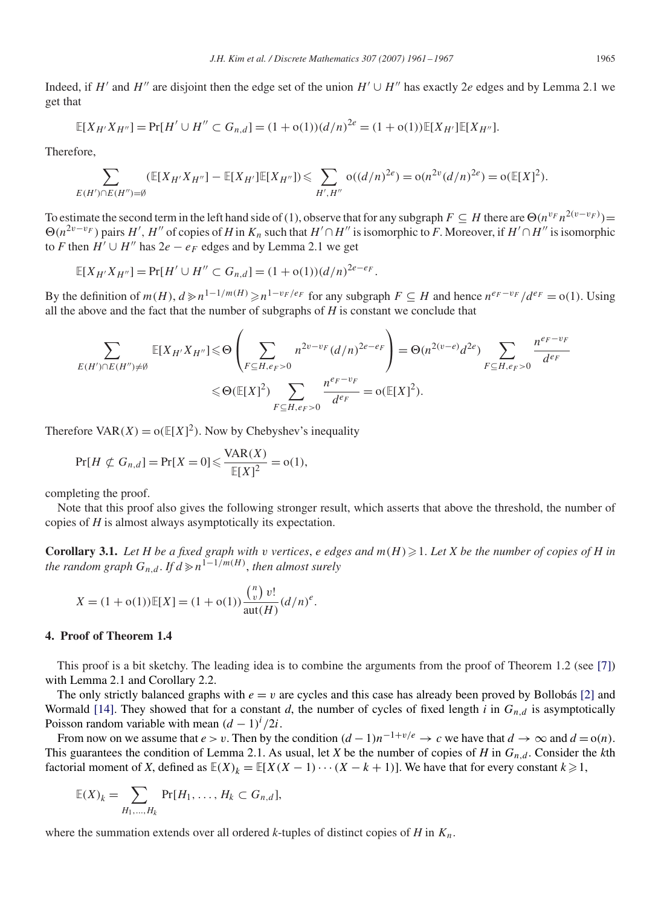Indeed, if H' and H'' are disjoint then the edge set of the union  $H' \cup H''$  has exactly 2e edges and by Lemma 2.1 we get that

$$
\mathbb{E}[X_{H'}X_{H''}] = \Pr[H' \cup H'' \subset G_{n,d}] = (1 + o(1))(d/n)^{2e} = (1 + o(1))\mathbb{E}[X_{H'}]\mathbb{E}[X_{H''}].
$$

Therefore,

$$
\sum_{E(H')\cap E(H'')=\emptyset} (\mathbb{E}[X_{H'}X_{H''}]-\mathbb{E}[X_{H'}]\mathbb{E}[X_{H''}])\leq \sum_{H',H''} o((d/n)^{2e})=o(n^{2v}(d/n)^{2e})=o(\mathbb{E}[X]^2).
$$

To estimate the second term in the left hand side of (1), observe that for any subgraph  $F \subseteq H$  there are  $\Theta(n^{v_F}n^{2(v-v_F)})$  $\Theta(n^{2v-v_F})$  pairs H', H'' of copies of H in  $K_n$  such that  $H' \cap H''$  is isomorphic to F. Moreover, if  $H' \cap H''$  is isomorphic to *F* then  $H' \cup H''$  has  $2e - e_F$  edges and by Lemma 2.1 we get

$$
\mathbb{E}[X_{H'}X_{H''}] = \Pr[H' \cup H'' \subset G_{n,d}] = (1 + o(1))(d/n)^{2e - e_F}.
$$

By the definition of  $m(H)$ ,  $d \ge n^{1-1/m(H)} \ge n^{1-v_F / e_F}$  for any subgraph  $F \subseteq H$  and hence  $n^{e_F - v_F} / d^{e_F} = o(1)$ . Using all the above and the fact that the number of subgraphs of *H* is constant we conclude that

$$
\sum_{E(H')\cap E(H'')\neq\emptyset} \mathbb{E}[X_{H'}X_{H''}] \leq \Theta\left(\sum_{F\subseteq H, e_F>0} n^{2v-v_F} (d/n)^{2e-e_F}\right) = \Theta(n^{2(v-e)}d^{2e}) \sum_{F\subseteq H, e_F>0} \frac{n^{e_F-v_F}}{d^{e_F}} \leq \Theta(\mathbb{E}[X]^2) \sum_{F\subseteq H, e_F>0} \frac{n^{e_F-v_F}}{d^{e_F}} = \Theta(\mathbb{E}[X]^2).
$$

Therefore  $VAR(X) = o(E[X]^2)$ . Now by Chebyshev's inequality

$$
\Pr[H \not\subset G_{n,d}] = \Pr[X=0] \leqslant \frac{\text{VAR}(X)}{\mathbb{E}[X]^2} = o(1),
$$

completing the proof.

Note that this proof also gives the following stronger result, which asserts that above the threshold, the number of copies of *H* is almost always asymptotically its expectation.

**Corollary 3.1.** Let H be a fixed graph with v vertices, e edges and  $m(H) \geq 1$ . Let X be the number of copies of H in *the random graph*  $G_{n,d}$ . *If*  $d \geq n^{1-1/m(H)}$ , *then almost surely* 

$$
X = (1 + o(1))\mathbb{E}[X] = (1 + o(1))\frac{\binom{n}{v}v!}{\text{aut}(H)}(d/n)^e.
$$

# **4. Proof of Theorem 1.4**

This proof is a bit sketchy. The leading idea is to combine the arguments from the proof of Theorem 1.2 (see [\[7\]\)](#page-6-0) with Lemma 2.1 and Corollary 2.2.

The only strictly balanced graphs with  $e = v$  are cycles and this case has already been proved by Bollobás [\[2\]](#page-6-0) and Wormald [\[14\].](#page-6-0) They showed that for a constant *d*, the number of cycles of fixed length *i* in  $G_{n,d}$  is asymptotically Poisson random variable with mean  $(d - 1)^i / 2i$ .

From now on we assume that  $e > v$ . Then by the condition  $(d - 1)n^{-1+v/e} \to c$  we have that  $d \to \infty$  and  $d = o(n)$ . This guarantees the condition of Lemma 2.1. As usual, let *X* be the number of copies of *H* in  $G_{n,d}$ . Consider the *k*th factorial moment of *X*, defined as  $\mathbb{E}(X)_k = \mathbb{E}[X(X-1)\cdots(X-k+1)]$ . We have that for every constant  $k \geq 1$ ,

$$
\mathbb{E}(X)_k = \sum_{H_1,\ldots,H_k} \Pr[H_1,\ldots,H_k \subset G_{n,d}],
$$

where the summation extends over all ordered *k*-tuples of distinct copies of *H* in  $K_n$ .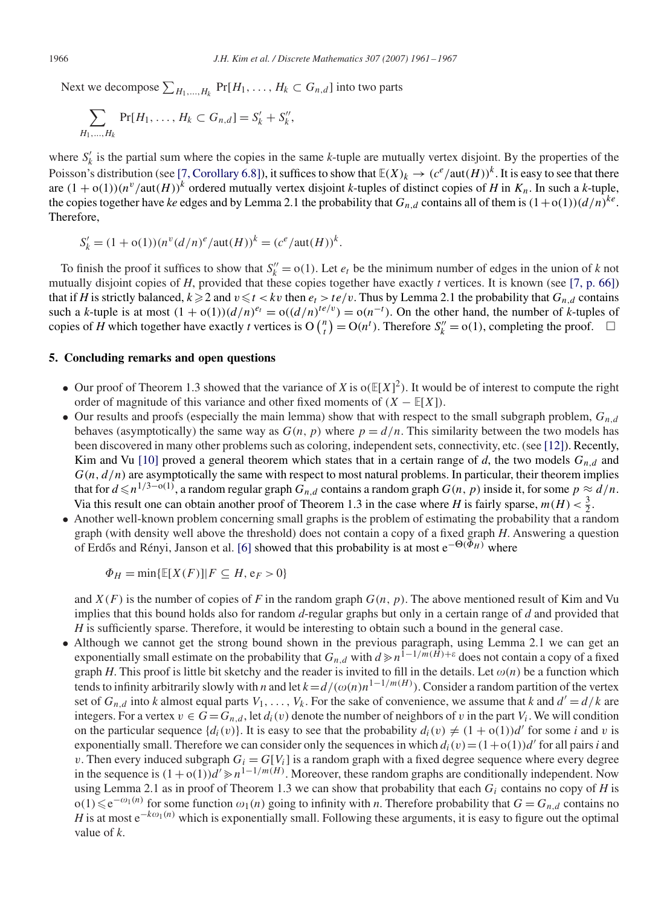Next we decompose  $\sum_{H_1,...,H_k}$  Pr[ $H_1,...,H_k \subset G_{n,d}$ ] into two parts

$$
\sum_{H_1,...,H_k} \Pr[H_1, \ldots, H_k \subset G_{n,d}] = S'_k + S''_k,
$$

where  $S'_k$  is the partial sum where the copies in the same  $k$ -tuple are mutually vertex disjoint. By the properties of the Poisson's distribution (see [\[7, Corollary 6.8\]\)](#page-6-0), it suffices to show that  $\mathbb{E}(X)_k \to (c^e/\text{aut}(H))^k$ . It is easy to see that there are  $(1 + o(1))(n^{\nu}/\text{aut}(H))^k$  ordered mutually vertex disjoint *k*-tuples of distinct copies of *H* in  $K_n$ . In such a *k*-tuple, the copies together have *ke* edges and by Lemma 2.1 the probability that  $G_{n,d}$  contains all of them is  $(1+o(1))(d/n)^{k}$ . Therefore,

$$
S'_{k} = (1 + o(1))(n^{v}(d/n)^{e}/\text{aut}(H))^{k} = (c^{e}/\text{aut}(H))^{k}.
$$

To finish the proof it suffices to show that  $S_k'' = o(1)$ . Let  $e_t$  be the minimum number of edges in the union of k not mutually disjoint copies of *H*, provided that these copies together have exactly *t* vertices. It is known (see [\[7, p. 66\]\)](#page-6-0) that if *H* is strictly balanced,  $k \geq 2$  and  $v \leq t < kv$  then  $e_t > te/v$ . Thus by Lemma 2.1 the probability that  $G_{n,d}$  contains such a *k*-tuple is at most  $(1 + o(1))(d/n)^{e_t} = o((d/n)^{te/v}) = o(n^{-t})$ . On the other hand, the number of *k*-tuples of copies of *H* which together have exactly *t* vertices is  $O\binom{n}{t} = O(n^t)$ . Therefore  $S_k'' = o(1)$ , completing the proof.  $\Box$ 

# **5. Concluding remarks and open questions**

- Our proof of Theorem 1.3 showed that the variance of *X* is  $o(E[X]^2)$ . It would be of interest to compute the right order of magnitude of this variance and other fixed moments of  $(X - \mathbb{E}[X])$ .
- Our results and proofs (especially the main lemma) show that with respect to the small subgraph problem,  $G_{n,d}$ behaves (asymptotically) the same way as  $G(n, p)$  where  $p = d/n$ . This similarity between the two models has been discovered in many other problems such as coloring, independent sets, connectivity, etc. (see [\[12\]\)](#page-6-0). Recently, Kim and Vu [\[10\]](#page-6-0) proved a general theorem which states that in a certain range of  $d$ , the two models  $G_{n,d}$  and  $G(n, d/n)$  are asymptotically the same with respect to most natural problems. In particular, their theorem implies that for  $d \leq n^{1/3-o(1)}$ , a random regular graph  $G_{n,d}$  contains a random graph  $G(n, p)$  inside it, for some  $p \approx d/n$ . Via this result one can obtain another proof of Theorem 1.3 in the case where *H* is fairly sparse,  $m(H) < \frac{3}{2}$ .
- Another well-known problem concerning small graphs is the problem of estimating the probability that a random graph (with density well above the threshold) does not contain a copy of a fixed graph *H*. Answering a question of Erdős and Rényi, Janson et al. [\[6\]](#page-6-0) showed that this probability is at most  $e^{-\Theta(\Phi_H)}$  where

$$
\Phi_H = \min\{\mathbb{E}[X(F)] | F \subseteq H, e_F > 0\}
$$

and  $X(F)$  is the number of copies of F in the random graph  $G(n, p)$ . The above mentioned result of Kim and Vu implies that this bound holds also for random *d*-regular graphs but only in a certain range of *d* and provided that *H* is sufficiently sparse. Therefore, it would be interesting to obtain such a bound in the general case.

• Although we cannot get the strong bound shown in the previous paragraph, using Lemma 2.1 we can get an exponentially small estimate on the probability that  $G_{n,d}$  with  $d \ge n^{1-1/m(H)+\varepsilon}$  does not contain a copy of a fixed graph *H*. This proof is little bit sketchy and the reader is invited to fill in the details. Let  $\omega(n)$  be a function which tends to infinity arbitrarily slowly with *n* and let  $k=d/(\omega(n)n^{1-1/m(H)})$ . Consider a random partition of the vertex set of  $G_{n,d}$  into *k* almost equal parts  $V_1,\ldots,V_k$ . For the sake of convenience, we assume that *k* and  $d' = d/k$  are integers. For a vertex  $v \in G = G_{n,d}$ , let  $d_i(v)$  denote the number of neighbors of v in the part  $V_i$ . We will condition on the particular sequence  $\{d_i(v)\}\)$ . It is easy to see that the probability  $d_i(v) \neq (1 + o(1))d'$  for some *i* and *v* is exponentially small. Therefore we can consider only the sequences in which  $d_i(v)=(1+o(1))d'$  for all pairs *i* and v. Then every induced subgraph  $G_i = G[V_i]$  is a random graph with a fixed degree sequence where every degree in the sequence is  $(1 + o(1))d' \ge n^{1-1/m(H)}$ . Moreover, these random graphs are conditionally independent. Now using Lemma 2.1 as in proof of Theorem 1.3 we can show that probability that each  $G_i$  contains no copy of *H* is o(1) ≤ e<sup>-ω<sub>1</sub>(n)</sup> for some function  $\omega_1(n)$  going to infinity with *n*. Therefore probability that  $G = G_{n,d}$  contains no *H* is at most  $e^{-k\omega_1(n)}$  which is exponentially small. Following these arguments, it is easy to figure out the optimal value of *k*.